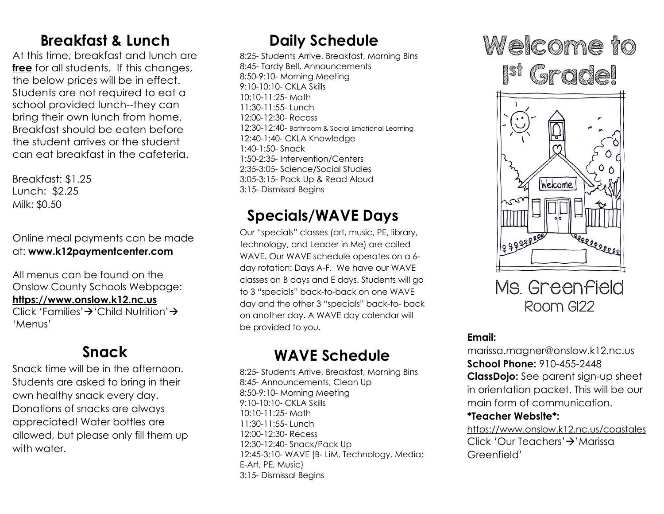## **Breakfast & Lunch**

At this time, breakfast and lunch are **free** for all students. If this changes, the below prices will be in effect. Students are not required to eat a school provided lunch--they can bring their own lunch from home. Breakfast should be eaten before the student arrives or the student can eat breakfast in the cafeteria.

Breakfast: \$1.25 Lunch: \$2.25 Milk: \$0.50

Online meal payments can be made at: **www.k12paymentcenter.com**

All menus can be found on the Onslow County Schools Webpage: **https://www.onslow.k12.nc.us** Click 'Families' $\rightarrow$  'Child Nutrition' $\rightarrow$ 

'Menus'

## **Snack**

Snack time will be in the afternoon. Students are asked to bring in their own healthy snack every day. Donations of snacks are always appreciated! Water bottles are allowed, but please only fill them up with water.

## **Daily Schedule**

8:25- Students Arrive, Breakfast, Morning Bins 8:45- Tardy Bell, Announcements 8:50-9:10- Morning Meeting 9:10-10:10- CKLA Skills 10:10-11:25- Math 11:30-11:55- Lunch 12:00-12:30- Recess 12:30-12:40- Bathroom & Social Emotional Learning 12:40-1:40- CKLA Knowledge 1:40-1:50- Snack 1:50-2:35- Intervention/Centers 2:35-3:05- Science/Social Studies 3:05-3:15- Pack Up & Read Aloud 3:15- Dismissal Begins

## **Specials/WAVE Days**

Our "specials" classes (art, music, PE, library, technology, and Leader in Me) are called WAVE. Our WAVE schedule operates on a 6day rotation: Days A-F. We have our WAVE classes on B days and E days. Students will go to 3 "specials" back-to-back on one WAVE day and the other 3 "specials" back-to- back on another day. A WAVE day calendar will be provided to you.

# **WAVE Schedule**

8:25- Students Arrive, Breakfast, Morning Bins 8:45- Announcements, Clean Up 8:50-9:10- Morning Meeting 9:10-10:10- CKLA Skills 10:10-11:25- Math 11:30-11:55- Lunch 12:00-12:30- Recess 12:30-12:40- Snack/Pack Up 12:45-3:10- WAVE (B- LiM, Technology, Media; E-Art, PE, Music) 3:15- Dismissal Begins

# Welcome to

ist (<sub>St</sub>e grade!



Ms. Greenfield Room G122

### **Email:**

marissa.magner@onslow.k12.nc.us **School Phone:** 910-455-2448 **ClassDojo:** See parent sign-up sheet in orientation packet. This will be our main form of communication.

#### **\*Teacher Website\*:**

https://www.onslow.k12.nc.us/coastales Click 'Our Teachers'<sup>></sup>'Marissa Greenfield'